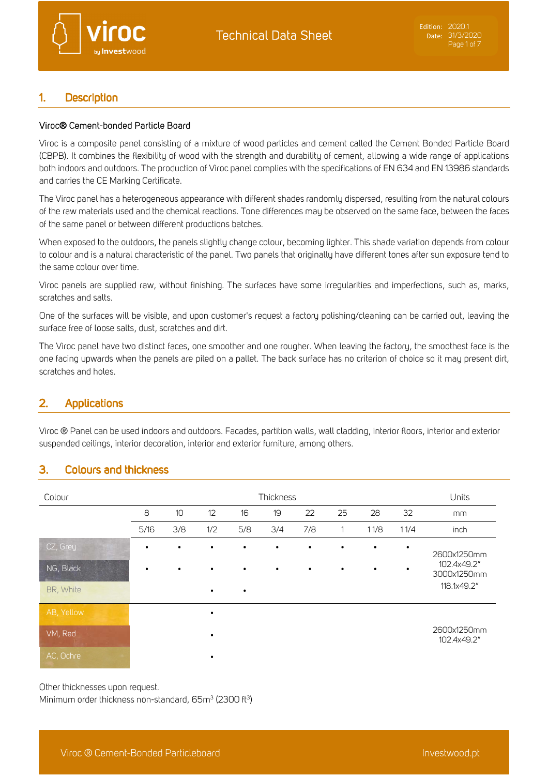

#### $\mathbf{1}$ **Description**

### Viroc® Cement-bonded Particle Board

Viroc is a composite panel consisting of a mixture of wood particles and cement called the Cement Bonded Particle Board (CBPB). It combines the flexibility of wood with the strength and durability of cement, allowing a wide range of applications both indoors and outdoors. The production of Viroc panel complies with the specifications of EN 634 and EN 13986 standards and carries the CE Marking Certificate.

The Viroc panel has a heterogeneous appearance with different shades randomly dispersed, resulting from the natural colours of the raw materials used and the chemical reactions. Tone differences may be observed on the same face, between the faces of the same panel or between different productions batches.

When exposed to the outdoors, the panels slightly change colour, becoming lighter. This shade variation depends from colour to colour and is a natural characteristic of the panel. Two panels that originally have different tones after sun exposure tend to the same colour over time.

Viroc panels are supplied raw, without finishing. The surfaces have some irregularities and imperfections, such as, marks, scratches and salts.

One of the surfaces will be visible, and upon customer's request a factory polishing/cleaning can be carried out, leaving the surface free of loose salts, dust, scratches and dirt.

The Viroc panel have two distinct faces, one smoother and one rougher. When leaving the factory, the smoothest face is the one facing upwards when the panels are piled on a pallet. The back surface has no criterion of choice so it may present dirt, scratches and holes.

#### $2.$ **Applications**

Viroc ® Panel can be used indoors and outdoors. Facades, partition walls, wall cladding, interior floors, interior and exterior suspended ceilings, interior decoration, interior and exterior furniture, among others.

#### $3.$ **Colours and thickness**

| Colour     |           |           |           |           | Thickness |     |           |           |           | Units                      |
|------------|-----------|-----------|-----------|-----------|-----------|-----|-----------|-----------|-----------|----------------------------|
|            | 8         | 10        | 12        | 16        | 19        | 22  | 25        | 28        | 32        | mm                         |
|            | 5/16      | 3/8       | 1/2       | 5/8       | 3/4       | 7/8 | 1         | 11/8      | 11/4      | inch                       |
| CZ, Grey   | $\bullet$ | $\bullet$ | $\bullet$ | $\bullet$ | $\bullet$ | ٠   | $\bullet$ | $\bullet$ | $\bullet$ | 2600x1250mm                |
| NG, Black  | $\bullet$ | $\bullet$ | $\bullet$ | $\bullet$ | $\bullet$ |     | $\bullet$ | $\bullet$ |           | 102.4x49.2"<br>3000x1250mm |
| BR, White  |           |           | $\bullet$ | $\bullet$ |           |     |           |           |           | 118.1x49.2"                |
| AB, Yellow |           |           | $\bullet$ |           |           |     |           |           |           |                            |
| VM, Red    |           |           | $\bullet$ |           |           |     |           |           |           | 2600x1250mm<br>102.4x49.2" |
| AC, Ochre  |           |           | ٠         |           |           |     |           |           |           |                            |

Other thicknesses upon request.

Minimum order thickness non-standard, 65m<sup>3</sup> (2300 ft<sup>3</sup>)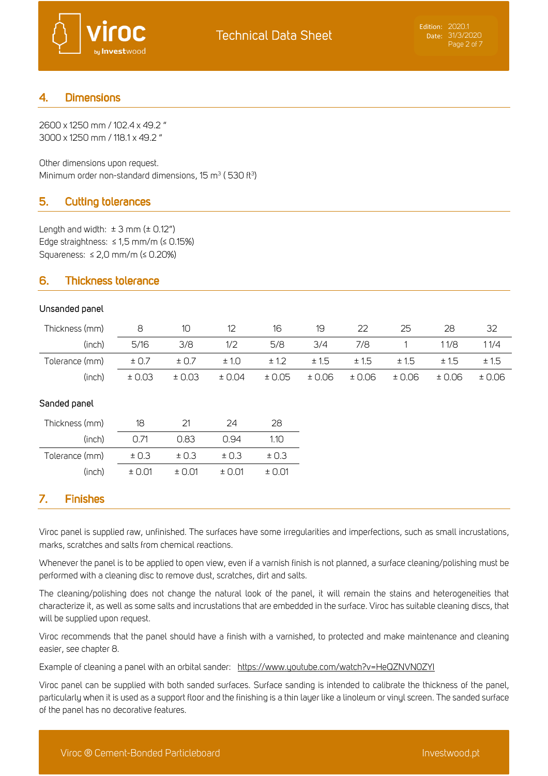

#### **Dimensions**  $\overline{4}$ .

2600 x 1250 mm / 102.4 x 49.2 " 3000 x 1250 mm / 118.1 x 49.2 "

Other dimensions upon request. Minimum order non-standard dimensions, 15  $\mathrm{m}^3$  (530 ft $^3$ )

#### 5. **Cutting tolerances**

Length and width:  $\pm 3$  mm ( $\pm 0.12$ ") Edge straightness: ≤ 1,5 mm/m (≤ 0.15%) Squareness: ≤ 2,0 mm/m (≤ 0.20%)

#### **Thickness tolerance** 6.

## Unsanded panel

| Thickness (mm) | 8      | 10     | 12     | 16     | 19     | 22    | 25    | 28    | 32    |
|----------------|--------|--------|--------|--------|--------|-------|-------|-------|-------|
| (inch)         | 5/16   | 3/8    | 1/2    | 5/8    | 3/4    | 7/8   |       | 11/8  | 11/4  |
| Tolerance (mm) | ± 0.7  | ± 0.7  | ± 1.0  | ± 1.2  | ± 1.5  | ± 1.5 | ± 1.5 | ± 1.5 | ±1.5  |
| (inch)         | ± 0.03 | ± 0.03 | ± 0.04 | ± 0.05 | ± 0.06 | ±0.06 | ±0.06 | ±0.06 | ±0.06 |

# Sanded panel

| Thickness (mm) | 18         | 21              | 24         | 28     |
|----------------|------------|-----------------|------------|--------|
| (inch)         | O 71       | 0.83            | N 94       | 1 1 N  |
| Tolerance (mm) | ± 0.3      | ± 0.3           | ± 0.3      | ± 0.3  |
| (inch)         | $\pm$ 0.01 | $± \cap \cap 1$ | $\pm$ 0.01 | ± 0.01 |

#### 7. **Finishes**

Viroc panel is supplied raw, unfinished. The surfaces have some irregularities and imperfections, such as small incrustations, marks, scratches and salts from chemical reactions.

Whenever the panel is to be applied to open view, even if a varnish finish is not planned, a surface cleaning/polishing must be performed with a cleaning disc to remove dust, scratches, dirt and salts.

The cleaning/polishing does not change the natural look of the panel, it will remain the stains and heterogeneities that characterize it, as well as some salts and incrustations that are embedded in the surface. Viroc has suitable cleaning discs, that will be supplied upon request.

Viroc recommends that the panel should have a finish with a varnished, to protected and make maintenance and cleaning easier, see chapter 8.

Example of cleaning a panel with an orbital sander: https://www.youtube.com/watch?v=HeQZNVNOZYI

Viroc panel can be supplied with both sanded surfaces. Surface sanding is intended to calibrate the thickness of the panel, particularly when it is used as a support floor and the finishing is a thin layer like a linoleum or vinyl screen. The sanded surface of the panel has no decorative features.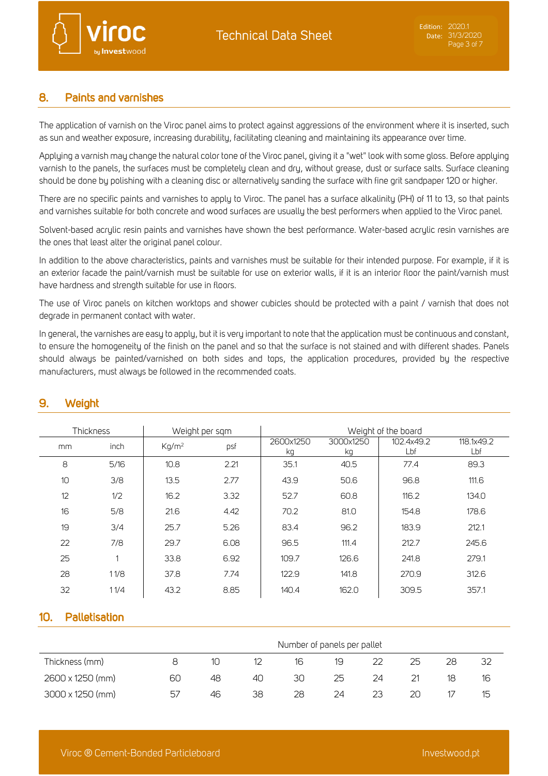

#### **Paints and varnishes** 8.

The application of varnish on the Viroc panel aims to protect against aggressions of the environment where it is inserted, such as sun and weather exposure, increasing durability, facilitating cleaning and maintaining its appearance over time.

Applying a varnish may change the natural color tone of the Viroc panel, giving it a "wet" look with some gloss. Before applying varnish to the panels, the surfaces must be completely clean and dry, without grease, dust or surface salts. Surface cleaning should be done by polishing with a cleaning disc or alternatively sanding the surface with fine grit sandpaper 120 or higher.

There are no specific paints and varnishes to apply to Viroc. The panel has a surface alkalinity (PH) of 11 to 13, so that paints and varnishes suitable for both concrete and wood surfaces are usually the best performers when applied to the Viroc panel.

Solvent-based acrylic resin paints and varnishes have shown the best performance. Water-based acrylic resin varnishes are the ones that least alter the original panel colour.

In addition to the above characteristics, paints and varnishes must be suitable for their intended purpose. For example, if it is an exterior facade the paint/varnish must be suitable for use on exterior walls, if it is an interior floor the paint/varnish must have hardness and strength suitable for use in floors.

The use of Viroc panels on kitchen worktops and shower cubicles should be protected with a paint / varnish that does not degrade in permanent contact with water.

In general, the varnishes are easy to apply, but it is very important to note that the application must be continuous and constant, to ensure the homogeneity of the finish on the panel and so that the surface is not stained and with different shades. Panels should always be painted/varnished on both sides and tops, the application procedures, provided by the respective manufacturers, must always be followed in the recommended coats.

|    | Thickness<br>Weight per sqm |                   | Weight of the board |                 |                 |                   |                   |  |  |
|----|-----------------------------|-------------------|---------------------|-----------------|-----------------|-------------------|-------------------|--|--|
| mm | inch                        | Kq/m <sup>2</sup> | psf                 | 2600x1250<br>kg | 3000x1250<br>kg | 102.4x49.2<br>Lbf | 118.1x49.2<br>Lbf |  |  |
| 8  | 5/16                        | 10.8              | 2.21                | 35.1            | 40.5            | 77.4              | 89.3              |  |  |
| 10 | 3/8                         | 13.5              | 2.77                | 43.9            | 50.6            | 96.8              | 111.6             |  |  |
| 12 | 1/2                         | 16.2              | 3.32                | 52.7            | 60.8            | 116.2             | 134.0             |  |  |
| 16 | 5/8                         | 21.6              | 4.42                | 70.2            | 81.0            | 154.8             | 178.6             |  |  |
| 19 | 3/4                         | 25.7              | 5.26                | 83.4            | 96.2            | 183.9             | 212.1             |  |  |
| 22 | 7/8                         | 29.7              | 6.08                | 96.5            | 111.4           | 212.7             | 245.6             |  |  |
| 25 | 1                           | 33.8              | 6.92                | 109.7           | 126.6           | 241.8             | 279.1             |  |  |
| 28 | 11/8                        | 37.8              | 7.74                | 122.9           | 141.8           | 270.9             | 312.6             |  |  |
| 32 | 11/4                        | 43.2              | 8.85                | 140.4           | 162.0           | 309.5             | 357.1             |  |  |

#### 9. Weight

#### Palletisation  $10<sub>1</sub>$

|                         |    |    |    | Number of panels per pallet |    |    |    |    |    |
|-------------------------|----|----|----|-----------------------------|----|----|----|----|----|
| Thickness (mm)          |    | 10 |    | 16                          | 19 | 22 | 25 | 28 | 32 |
| 2600 x 1250 (mm)        | 60 | 48 | 40 | 30                          | 25 | 24 |    | 18 | 16 |
| $3000 \times 1250$ (mm) | 57 | 46 | 38 | 28                          | 24 | 23 | 20 |    | 1도 |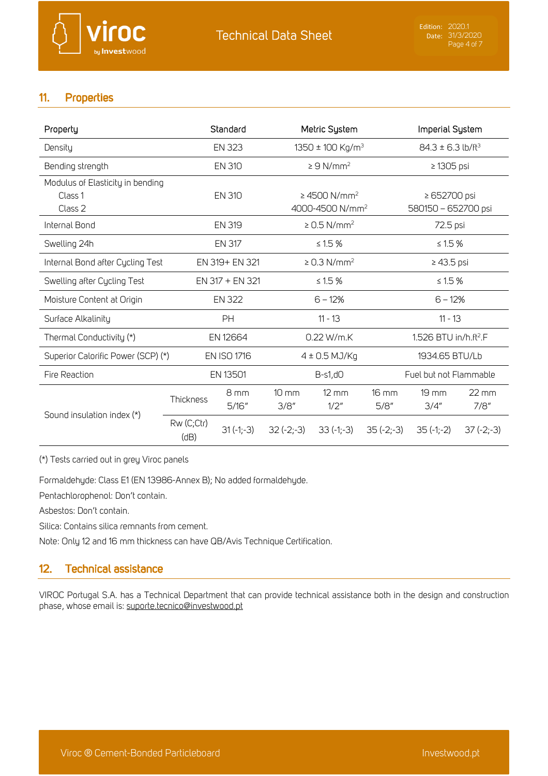### $11.$ **Properties**

| Property                           |                    | Standard           |                 | Metric System                 |             | Imperial System                   |                   |  |
|------------------------------------|--------------------|--------------------|-----------------|-------------------------------|-------------|-----------------------------------|-------------------|--|
| Density                            |                    | <b>EN 323</b>      |                 | 1350 ± 100 Kg/m <sup>3</sup>  |             | $84.3 \pm 6.3$ lb/ft <sup>3</sup> |                   |  |
| Bending strength                   |                    | <b>EN 310</b>      |                 | $\geq 9$ N/mm <sup>2</sup>    |             |                                   | $\geq$ 1305 psi   |  |
| Modulus of Elasticity in bending   |                    |                    |                 |                               |             |                                   |                   |  |
| Class <sub>1</sub>                 |                    | <b>EN 310</b>      |                 | $\geq$ 4500 N/mm <sup>2</sup> |             | ≥ 652700 psi                      |                   |  |
| Class 2                            |                    |                    |                 | 4000-4500 N/mm <sup>2</sup>   |             | 580150 - 652700 psi               |                   |  |
| Internal Bond                      |                    | <b>EN 319</b>      |                 | $\geq$ 0.5 N/mm <sup>2</sup>  |             | 72.5 psi                          |                   |  |
| Swelling 24h                       |                    | <b>EN 317</b>      |                 | ≤ 1.5 $%$                     |             | ≤ 1.5 $%$                         |                   |  |
| Internal Bond after Cycling Test   | EN 319+ EN 321     |                    |                 | $\geq$ 0.3 N/mm <sup>2</sup>  |             | $\geq$ 43.5 psi                   |                   |  |
| Swelling after Cycling Test        |                    | EN 317 + EN 321    |                 | $\leq 1.5 \%$                 |             | ≤ 1.5 $%$                         |                   |  |
| Moisture Content at Origin         |                    | <b>EN 322</b>      |                 | $6 - 12%$                     |             | $6 - 12%$                         |                   |  |
| Surface Alkalinity                 |                    | PH                 |                 | $11 - 13$                     |             | $11 - 13$                         |                   |  |
| Thermal Conductivity (*)           |                    | EN 12664           |                 | 0.22 W/m.K                    |             | 1.526 BTU in/h.ft <sup>2</sup> .F |                   |  |
| Superior Calorific Power (SCP) (*) |                    | <b>EN ISO 1716</b> |                 | $4 \pm 0.5$ MJ/Kg             |             | 1934.65 BTU/Lb                    |                   |  |
| Fire Reaction                      |                    | EN 13501           |                 | $B-s1,d0$                     |             | Fuel but not Flammable            |                   |  |
|                                    | Thickness          | 8 <sub>mm</sub>    | $10 \text{ mm}$ | $12 \, \text{mm}$             | 16 mm       | $19 \text{ mm}$                   | $22 \, \text{mm}$ |  |
|                                    |                    | 5/16''             | 3/8''           | 1/2"                          | 5/8''       | 3/4''                             | 7/8''             |  |
| Sound insulation index (*)         | Rw (C;Ctr)<br>(dB) | $31(-1,-3)$        | $32(-2,-3)$     | $33(-1,-3)$                   | $35(-2,-3)$ | $35(-1,-2)$                       | $37(-2,-3)$       |  |

(\*) Tests carried out in grey Viroc panels

Formaldehyde: Class E1 (EN 13986-Annex B); No added formaldehyde.

Pentachlorophenol: Don't contain.

Asbestos: Don't contain.

Silica: Contains silica remnants from cement.

Note: Only 12 and 16 mm thickness can have QB/Avis Technique Certification.

#### **Technical assistance**  $12.$

VIROC Portugal S.A. has a Technical Department that can provide technical assistance both in the design and construction phase, whose email is: suporte.tecnico@investwood.pt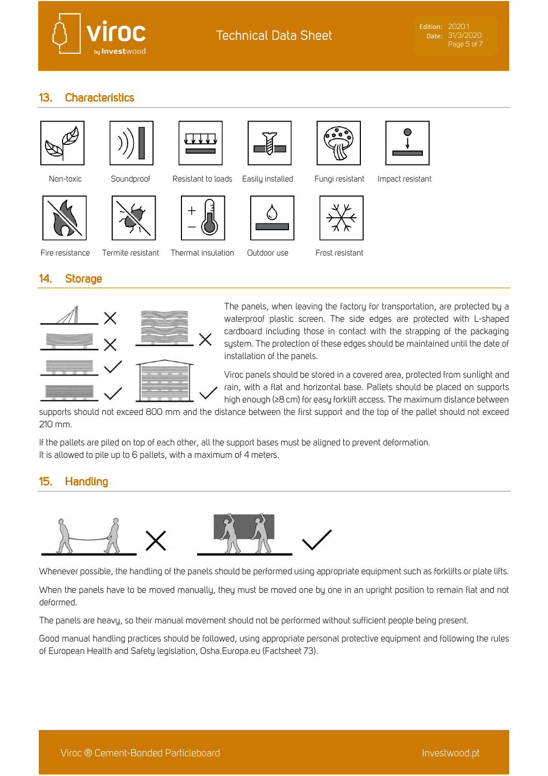

#### $13.$ **Characteristics**















Non-toxic Soundproof Resistant to loads Easily installed Fungi resistant Impact resistant



Fire resistance Termite resistant Thermal insulation Outdoor use Frost resistant

#### $14.$ **Storage**



The panels, when leaving the factory for transportation, are protected by a waterproof plastic screen. The side edges are protected with L-shaped cardboard including those in contact with the strapping of the packaging system. The protection of these edges should be maintained until the date of installation of the panels.

Viroc panels should be stored in a covered area, protected from sunlight and rain, with a flat and horizontal base. Pallets should be placed on supports high enough (≥8 cm) for easy forklift access. The maximum distance between

supports should not exceed 800 mm and the distance between the first support and the top of the pallet should not exceed 210 mm.

If the pallets are piled on top of each other, all the support bases must be aligned to prevent deformation. It is allowed to pile up to 6 pallets, with a maximum of 4 meters.

#### 15. **Handling**



Whenever possible, the handling of the panels should be performed using appropriate equipment such as forklifts or plate lifts.

When the panels have to be moved manually, they must be moved one by one in an upright position to remain flat and not deformed.

The panels are heavy, so their manual movement should not be performed without sufficient people being present.

Good manual handling practices should be followed, using appropriate personal protective equipment and following the rules of European Health and Safety legislation, Osha.Europa.eu (Factsheet 73).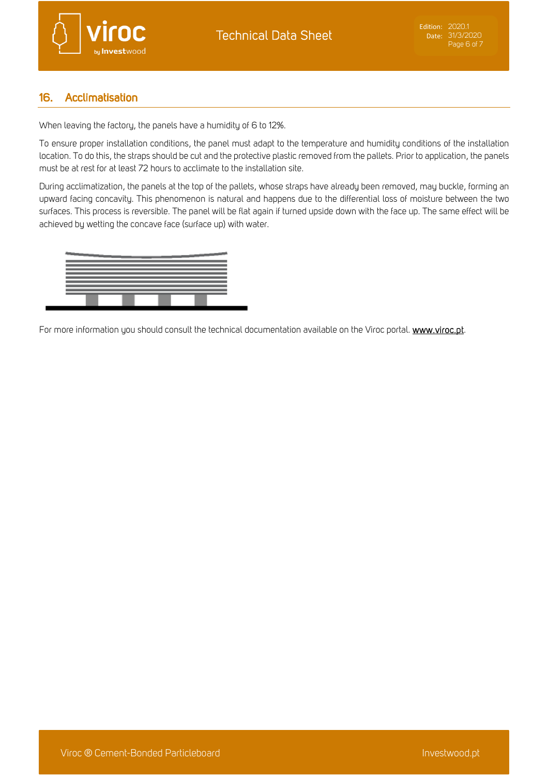

#### 16. Acclimatisation

When leaving the factory, the panels have a humidity of 6 to 12%.

To ensure proper installation conditions, the panel must adapt to the temperature and humidity conditions of the installation location. To do this, the straps should be cut and the protective plastic removed from the pallets. Prior to application, the panels must be at rest for at least 72 hours to acclimate to the installation site.

During acclimatization, the panels at the top of the pallets, whose straps have already been removed, may buckle, forming an upward facing concavity. This phenomenon is natural and happens due to the differential loss of moisture between the two surfaces. This process is reversible. The panel will be flat again if turned upside down with the face up. The same effect will be achieved by wetting the concave face (surface up) with water.



For more information you should consult the technical documentation available on the Viroc portal. www.viroc.pt.